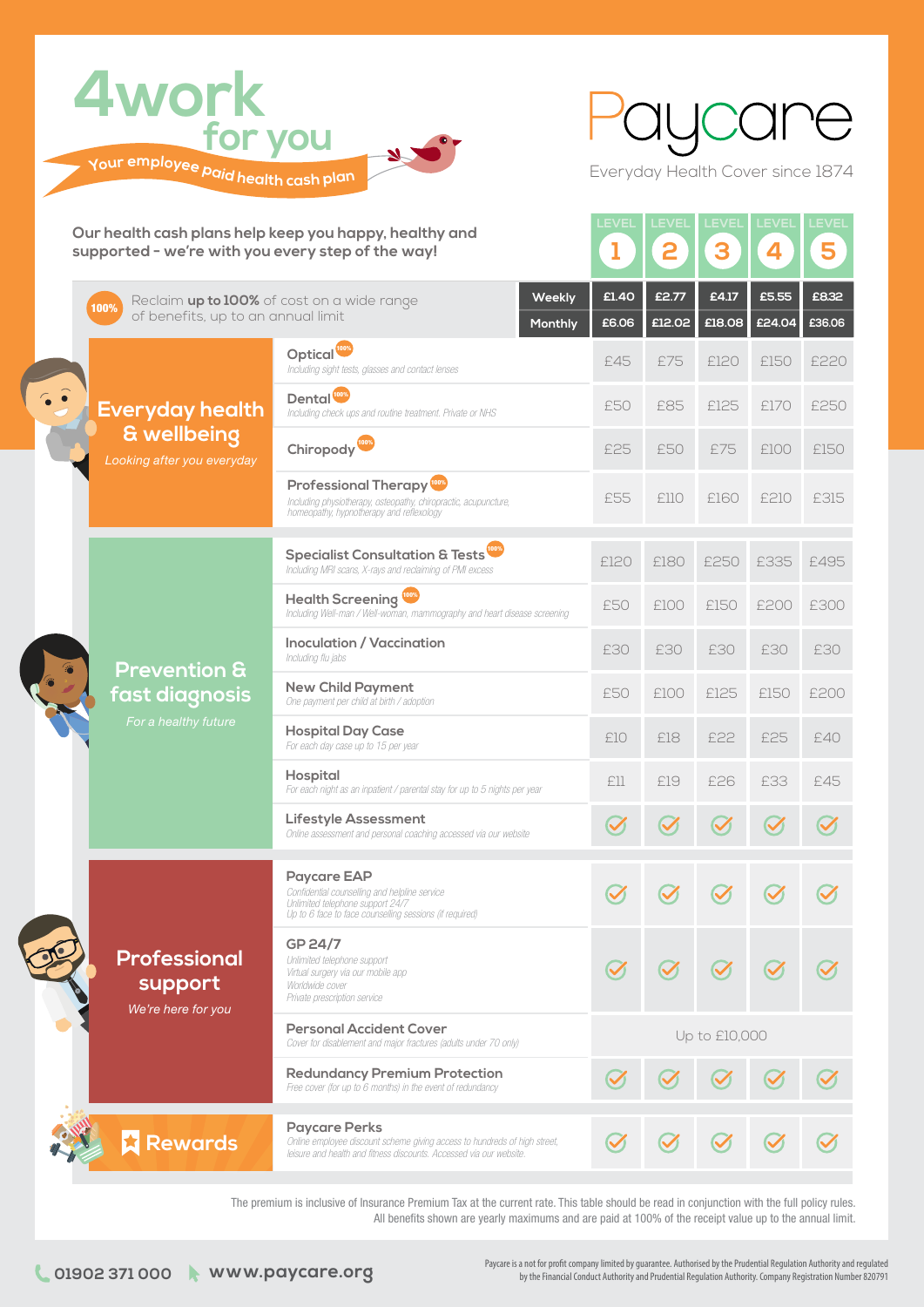

Everyday Health Cover since 1874

| Our health cash plans help keep you happy, healthy and<br>supported - we're with you every step of the way! |                                                                                                                      |                                                                                                                                                                          | <b>LEVEL</b><br>ı | <b>EVEL</b><br>2 | <b>EVEL</b><br>3 | LEVEL<br>4      | <b>EVEL</b><br>5 |
|-------------------------------------------------------------------------------------------------------------|----------------------------------------------------------------------------------------------------------------------|--------------------------------------------------------------------------------------------------------------------------------------------------------------------------|-------------------|------------------|------------------|-----------------|------------------|
|                                                                                                             | Weekly<br>Reclaim up to 100% of cost on a wide range<br>100%<br>of benefits, up to an annual limit<br><b>Monthly</b> |                                                                                                                                                                          | £1.40<br>£6.06    | £2.77<br>£12.02  | £4.17<br>£18.08  | £5.55<br>£24.04 | £8.32<br>£36.06  |
|                                                                                                             | <b>Everyday health</b><br>& wellbeing<br>Looking after you everyday                                                  | Optical <sup>tow</sup><br>Including sight tests, glasses and contact lenses                                                                                              | £45               | £75              | £120             | £150            | £220             |
|                                                                                                             |                                                                                                                      | Dental <sup>100%</sup><br>Including check ups and routine treatment. Private or NHS                                                                                      | £50               | £85              | £125             | £170            | £250             |
|                                                                                                             |                                                                                                                      | Chiropody <sup>1003</sup>                                                                                                                                                | £25               | £50              | £75              | £100            | £150             |
|                                                                                                             |                                                                                                                      | <b>Professional Therapy</b><br>Including physiotherapy, osteopathy, chiropractic, acupuncture,<br>homeopathy, hypnotherapy and reflexology                               | £55               | £110             | £160             | £210            | £315             |
|                                                                                                             | <b>Prevention &amp;</b><br>fast diagnosis<br>For a healthy future                                                    | <b>Specialist Consultation &amp; Tests</b><br>Including MRI scans, X-rays and reclaiming of PMI excess                                                                   | £120              | £180             | £250             | £335            | £495             |
|                                                                                                             |                                                                                                                      | <b>Health Screening</b><br>Including Well-man / Well-woman, mammography and heart disease screening                                                                      | £50               | £100             | £150             | £200            | £300             |
|                                                                                                             |                                                                                                                      | <b>Inoculation / Vaccination</b><br>Including flu jabs                                                                                                                   | £30               | £30              | £30              | £30             | £30              |
|                                                                                                             |                                                                                                                      | <b>New Child Payment</b><br>One payment per child at birth / adoption                                                                                                    | £50               | £100             | £125             | £150            | £200             |
|                                                                                                             |                                                                                                                      | <b>Hospital Day Case</b><br>For each day case up to 15 per year                                                                                                          | £10               | £18              | £22              | £25             | £40              |
|                                                                                                             |                                                                                                                      | <b>Hospital</b><br>For each night as an inpatient / parental stay for up to 5 nights per year                                                                            | £ll               | £19              | £26              | £33             | £45              |
|                                                                                                             |                                                                                                                      | <b>Lifestyle Assessment</b><br>Online assessment and personal coaching accessed via our website                                                                          |                   |                  |                  |                 |                  |
|                                                                                                             | <b>Professional</b><br>support<br>We're here for you                                                                 | <b>Paycare EAP</b><br>Confidential counselling and helpline service<br>Unlimited telephone support 24/7<br>Up to 6 face to face counselling sessions (if required)       |                   |                  |                  |                 |                  |
|                                                                                                             |                                                                                                                      | GP 24/7<br>Unlimited telephone support<br>Virtual surgery via our mobile app<br>Worldwide cover<br>Private prescription service                                          |                   |                  |                  |                 |                  |
|                                                                                                             |                                                                                                                      | <b>Personal Accident Cover</b><br>Cover for disablement and major fractures (adults under 70 only)                                                                       | Up to £10,000     |                  |                  |                 |                  |
|                                                                                                             |                                                                                                                      | <b>Redundancy Premium Protection</b><br>Free cover (for up to 6 months) in the event of redundancy                                                                       |                   |                  |                  |                 |                  |
|                                                                                                             | <b>Rewards</b>                                                                                                       | <b>Paycare Perks</b><br>Online employee discount scheme giving access to hundreds of high street,<br>leisure and health and fitness discounts. Accessed via our website. |                   |                  |                  |                 |                  |

The premium is inclusive of Insurance Premium Tax at the current rate. This table should be read in conjunction with the full policy rules. All benefits shown are yearly maximums and are paid at 100% of the receipt value up to the annual limit.